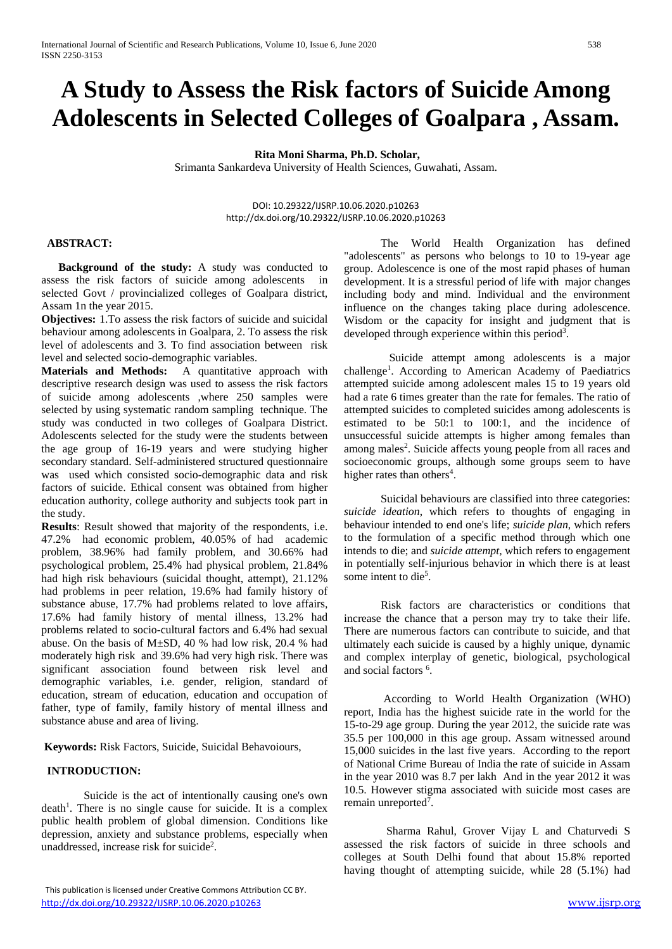# **A Study to Assess the Risk factors of Suicide Among Adolescents in Selected Colleges of Goalpara , Assam.**

# **Rita Moni Sharma, Ph.D. Scholar,**

Srimanta Sankardeva University of Health Sciences, Guwahati, Assam.

DOI: 10.29322/IJSRP.10.06.2020.p10263 http://dx.doi.org/10.29322/IJSRP.10.06.2020.p10263

#### **ABSTRACT:**

 **Background of the study:** A study was conducted to assess the risk factors of suicide among adolescents in selected Govt / provincialized colleges of Goalpara district, Assam 1n the year 2015.

**Objectives:** 1.To assess the risk factors of suicide and suicidal behaviour among adolescents in Goalpara, 2. To assess the risk level of adolescents and 3. To find association between risk level and selected socio-demographic variables.

**Materials and Methods:** A quantitative approach with descriptive research design was used to assess the risk factors of suicide among adolescents ,where 250 samples were selected by using systematic random sampling technique. The study was conducted in two colleges of Goalpara District. Adolescents selected for the study were the students between the age group of 16-19 years and were studying higher secondary standard. Self-administered structured questionnaire was used which consisted socio-demographic data and risk factors of suicide. Ethical consent was obtained from higher education authority, college authority and subjects took part in the study.

**Results**: Result showed that majority of the respondents, i.e. 47.2% had economic problem, 40.05% of had academic problem, 38.96% had family problem, and 30.66% had psychological problem, 25.4% had physical problem, 21.84% had high risk behaviours (suicidal thought, attempt), 21.12% had problems in peer relation, 19.6% had family history of substance abuse, 17.7% had problems related to love affairs, 17.6% had family history of mental illness, 13.2% had problems related to socio-cultural factors and 6.4% had sexual abuse. On the basis of M±SD, 40 % had low risk, 20.4 % had moderately high risk and 39.6% had very high risk. There was significant association found between risk level and demographic variables, i.e. gender, religion, standard of education, stream of education, education and occupation of father, type of family, family history of mental illness and substance abuse and area of living.

**Keywords:** Risk Factors, Suicide, Suicidal Behavoiours,

#### **INTRODUCTION:**

Suicide is the act of intentionally causing one's own death<sup>1</sup>. There is no single cause for suicide. It is a complex public health problem of global dimension. Conditions like depression, anxiety and substance problems, especially when unaddressed, increase risk for suicide<sup>2</sup>.

 The World Health Organization has defined "adolescents" as persons who belongs to 10 to 19-year age group. Adolescence is one of the most rapid phases of human development. It is a stressful period of life with major changes including body and mind. Individual and the environment influence on the changes taking place during adolescence. [Wisdom](https://en.wikipedia.org/wiki/Wisdom) or the capacity for insight and judgment that is developed through experience within this period<sup>3</sup>.

 Suicide attempt among adolescents is a major challenge<sup>1</sup>. According to American Academy of Paediatrics attempted suicide among adolescent males 15 to 19 years old had a rate 6 times greater than the rate for females. The ratio of attempted suicides to completed suicides among adolescents is estimated to be 50:1 to 100:1, and the incidence of unsuccessful suicide attempts is higher among females than among males<sup>2</sup>. Suicide affects young people from all races and socioeconomic groups, although some groups seem to have higher rates than others<sup>4</sup>.

Suicidal behaviours are classified into three categories: *suicide ideation*, which refers to thoughts of engaging in behaviour intended to end one's life; *suicide plan*, which refers to the formulation of a specific method through which one intends to die; and *suicide attempt,* which refers to engagement in potentially self-injurious behavior in which there is at least some intent to die<sup>5</sup>.

 Risk factors are characteristics or conditions that increase the chance that a person may try to take their life. There are numerous factors can contribute to suicide, and that ultimately each suicide is caused by a highly unique, dynamic and complex interplay of genetic, biological, psychological and social factors <sup>6</sup>.

 According to World Health Organization (WHO) report, India has the highest suicide rate in the world for the 15-to-29 age group. During the year 2012, the suicide rate was 35.5 per 100,000 in this age group. Assam witnessed around 15,000 suicides in the last five years. According to the report of National Crime Bureau of India the rate of suicide in Assam in the year 2010 was 8.7 per lakh And in the year 2012 it was 10.5. However stigma associated with suicide most cases are remain unreported<sup>7</sup>.

 Sharma Rahul, Grover Vijay L and Chaturvedi S assessed the risk factors of suicide in three schools and colleges at South Delhi found that about 15.8% reported having thought of attempting suicide, while 28 (5.1%) had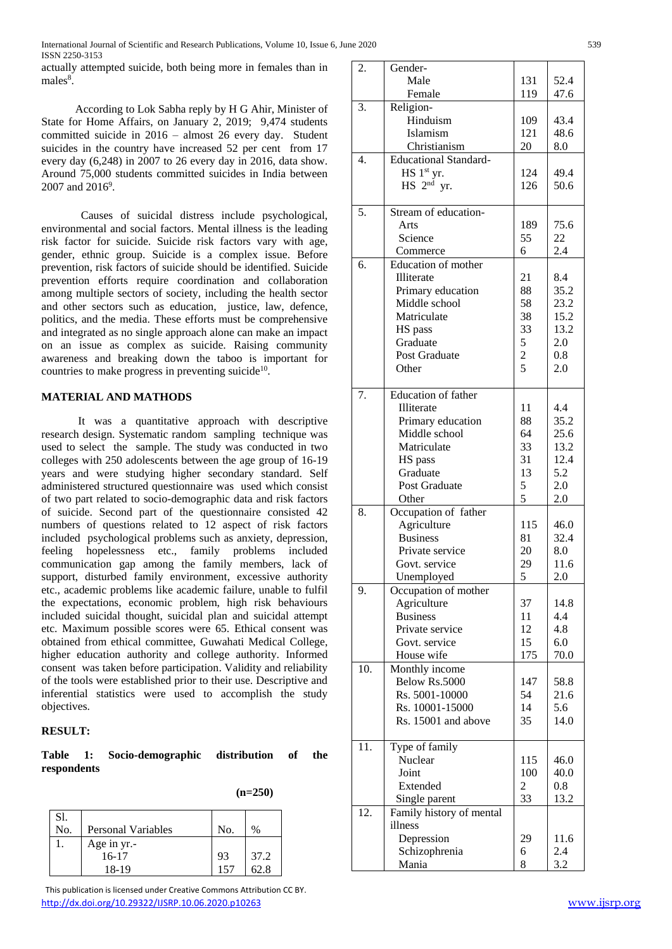actually attempted suicide, both being more in females than in males<sup>8</sup>.

 According to Lok Sabha reply by H G Ahir, Minister of State for Home Affairs, on January 2, 2019; 9,474 students committed suicide in 2016 – almost 26 every day. Student suicides in the country have increased 52 per cent from 17 every day (6,248) in 2007 to 26 every day in 2016, data show. Around 75,000 students committed suicides in India between 2007 and 2016<sup>9</sup>.

 Causes of suicidal distress include psychological, environmental and social factors. Mental illness is the leading risk factor for suicide. Suicide risk factors vary with age, gender, ethnic group. Suicide is a complex issue. Before prevention, risk factors of suicide should be identified. Suicide prevention efforts require coordination and collaboration among multiple sectors of society, including the health sector and other sectors such as education, justice, law, defence, politics, and the media. These efforts must be comprehensive and integrated as no single approach alone can make an impact on an issue as complex as suicide. Raising community awareness and breaking down the taboo is important for countries to make progress in preventing suicide $10$ .

## **MATERIAL AND MATHODS**

 It was a quantitative approach with descriptive research design. Systematic random sampling technique was used to select the sample. The study was conducted in two colleges with 250 adolescents between the age group of 16-19 years and were studying higher secondary standard. Self administered structured questionnaire was used which consist of two part related to socio-demographic data and risk factors of suicide. Second part of the questionnaire consisted 42 numbers of questions related to 12 aspect of risk factors included psychological problems such as anxiety, depression, feeling hopelessness etc., family problems included communication gap among the family members, lack of support, disturbed family environment, excessive authority etc., academic problems like academic failure, unable to fulfil the expectations, economic problem, high risk behaviours included suicidal thought, suicidal plan and suicidal attempt etc. Maximum possible scores were 65. Ethical consent was obtained from ethical committee, Guwahati Medical College, higher education authority and college authority. Informed consent was taken before participation. Validity and reliability of the tools were established prior to their use. Descriptive and inferential statistics were used to accomplish the study objectives.

## **RESULT:**

|             | Table 1: Socio-demographic distribution of |  | the |
|-------------|--------------------------------------------|--|-----|
| respondents |                                            |  |     |

| $(n=250)$ |
|-----------|
|           |

| S1.<br>No. | Personal Variables | No. | $\frac{0}{0}$ |
|------------|--------------------|-----|---------------|
|            | Age in yr.-        |     |               |
|            | $16-17$            | 93  | 37.2          |
|            | 18-19              | 157 | 62 8          |

 This publication is licensed under Creative Commons Attribution CC BY. <http://dx.doi.org/10.29322/IJSRP.10.06.2020.p10263> [www.ijsrp.org](http://ijsrp.org/)

| 2.  | Gender-                      |               |      |
|-----|------------------------------|---------------|------|
|     | Male                         | 131           | 52.4 |
|     | Female                       | 119           | 47.6 |
| 3.  | Religion-                    |               |      |
|     | Hinduism                     | 109           | 43.4 |
|     | Islamism                     | 121           | 48.6 |
|     | Christianism                 | 20            | 8.0  |
| 4.  | <b>Educational Standard-</b> |               |      |
|     | HS 1st yr.                   | 124           | 49.4 |
|     | $HS$ $2nd$ yr.               | 126           | 50.6 |
|     |                              |               |      |
| 5.  | Stream of education-         |               |      |
|     | Arts                         | 189           | 75.6 |
|     | Science                      | 55            | 22   |
|     | Commerce                     | 6             | 2.4  |
| 6.  | <b>Education of mother</b>   |               |      |
|     | Illiterate                   | 21            | 8.4  |
|     | Primary education            | 88            | 35.2 |
|     | Middle school                | 58            | 23.2 |
|     | Matriculate                  | 38            | 15.2 |
|     | HS pass                      | 33            | 13.2 |
|     | Graduate                     | 5             | 2.0  |
|     | Post Graduate                |               | 0.8  |
|     | Other                        | $\frac{2}{5}$ | 2.0  |
|     |                              |               |      |
| 7.  | Education of father          |               |      |
|     | Illiterate                   | 11            | 4.4  |
|     | Primary education            | 88            | 35.2 |
|     | Middle school                | 64            | 25.6 |
|     | Matriculate                  | 33            | 13.2 |
|     | HS pass                      | 31            | 12.4 |
|     | Graduate                     | 13            | 5.2  |
|     | Post Graduate                | 5             | 2.0  |
|     | Other                        | 5             | 2.0  |
| 8.  | Occupation of father         |               |      |
|     | Agriculture                  | 115           | 46.0 |
|     | <b>Business</b>              | 81            | 32.4 |
|     | Private service              | 20            | 8.0  |
|     | Govt. service                | 29            | 11.6 |
|     | Unemployed                   | 5             | 2.0  |
| 9.  | Occupation of mother         |               |      |
|     | Agriculture                  | 37            | 14.8 |
|     | <b>Business</b>              | 11            | 4.4  |
|     | Private service              | 12            | 4.8  |
|     | Govt. service                | 15            | 6.0  |
|     | House wife                   | 175           | 70.0 |
| 10. | Monthly income               |               |      |
|     | Below Rs.5000                | 147           | 58.8 |
|     | Rs. 5001-10000               | 54            | 21.6 |
|     | Rs. 10001-15000              | 14            | 5.6  |
|     | Rs. 15001 and above          | 35            | 14.0 |
|     |                              |               |      |
| 11. | Type of family               |               |      |
|     | Nuclear                      | 115           | 46.0 |
|     | Joint                        | 100           | 40.0 |
|     | Extended                     | 2             | 0.8  |
|     | Single parent                | 33            | 13.2 |
| 12. | Family history of mental     |               |      |
|     | illness                      |               |      |
|     | Depression                   | 29            | 11.6 |
|     | Schizophrenia                | 6             | 2.4  |
|     | Mania                        | 8             | 3.2  |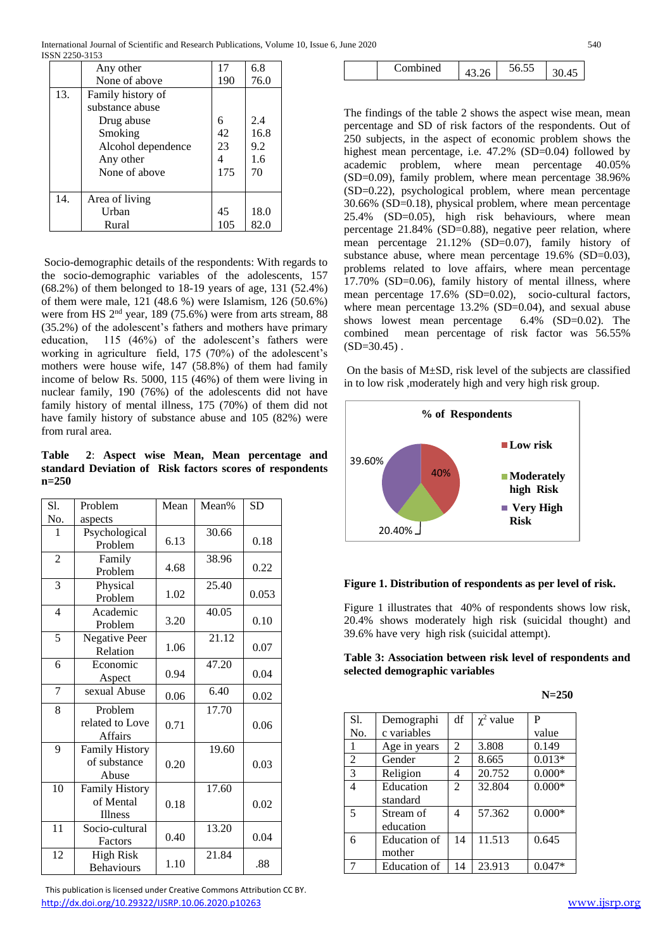|     | Any other          | 17  | 6.8  |
|-----|--------------------|-----|------|
|     | None of above      | 190 | 76.0 |
| 13. | Family history of  |     |      |
|     | substance abuse    |     |      |
|     | Drug abuse         | 6   | 2.4  |
|     | Smoking            | 42  | 16.8 |
|     | Alcohol dependence | 23  | 9.2  |
|     | Any other          | 4   | 1.6  |
|     | None of above      | 175 | 70   |
|     |                    |     |      |
| 14. | Area of living     |     |      |
|     | Urban              | 45  | 18.0 |
|     | Rural              | 105 | 82.0 |

Socio-demographic details of the respondents: With regards to the socio-demographic variables of the adolescents, 157 (68.2%) of them belonged to 18-19 years of age, 131 (52.4%) of them were male, 121 (48.6 %) were Islamism, 126 (50.6%) were from HS 2nd year, 189 (75.6%) were from arts stream, 88 (35.2%) of the adolescent's fathers and mothers have primary education, 115 (46%) of the adolescent's fathers were working in agriculture field, 175 (70%) of the adolescent's mothers were house wife, 147 (58.8%) of them had family income of below Rs. 5000, 115 (46%) of them were living in nuclear family, 190 (76%) of the adolescents did not have family history of mental illness, 175 (70%) of them did not have family history of substance abuse and 105 (82%) were from rural area.

**Table 2**: **Aspect wise Mean, Mean percentage and standard Deviation of Risk factors scores of respondents n=250**

| Sl.            | Problem                                        | Mean | Mean% | <b>SD</b> |
|----------------|------------------------------------------------|------|-------|-----------|
| No.            | aspects                                        |      |       |           |
| 1              | Psychological<br>Problem                       | 6.13 | 30.66 | 0.18      |
| $\overline{2}$ | Family<br>Problem                              | 4.68 | 38.96 | 0.22      |
| 3              | Physical<br>Problem                            | 1.02 | 25.40 | 0.053     |
| $\overline{4}$ | Academic<br>Problem                            | 3.20 | 40.05 | 0.10      |
| $\overline{5}$ | <b>Negative Peer</b><br>Relation               | 1.06 | 21.12 | 0.07      |
| 6              | Economic<br>Aspect                             | 0.94 | 47.20 | 0.04      |
| $\overline{7}$ | sexual Abuse                                   | 0.06 | 6.40  | 0.02      |
| 8              | Problem<br>related to Love<br><b>Affairs</b>   | 0.71 | 17.70 | 0.06      |
| 9              | <b>Family History</b><br>of substance<br>Abuse | 0.20 | 19.60 | 0.03      |
| 10             | Family History<br>of Mental<br><b>Illness</b>  | 0.18 | 17.60 | 0.02      |
| 11             | Socio-cultural<br>Factors                      | 0.40 | 13.20 | 0.04      |
| 12             | <b>High Risk</b><br><b>Behaviours</b>          | 1.10 | 21.84 | .88       |

 This publication is licensed under Creative Commons Attribution CC BY. <http://dx.doi.org/10.29322/IJSRP.10.06.2020.p10263> [www.ijsrp.org](http://ijsrp.org/)

| $\cdot$<br>nmhined |
|--------------------|
|--------------------|

The findings of the table 2 shows the aspect wise mean, mean percentage and SD of risk factors of the respondents. Out of 250 subjects, in the aspect of economic problem shows the highest mean percentage, i.e. 47.2% (SD=0.04) followed by academic problem, where mean percentage 40.05% (SD=0.09), family problem, where mean percentage 38.96% (SD=0.22), psychological problem, where mean percentage 30.66% (SD=0.18), physical problem, where mean percentage 25.4% (SD=0.05), high risk behaviours, where mean percentage 21.84% (SD=0.88), negative peer relation, where mean percentage 21.12% (SD=0.07), family history of substance abuse, where mean percentage 19.6% (SD=0.03), problems related to love affairs, where mean percentage 17.70% (SD=0.06), family history of mental illness, where mean percentage 17.6% (SD=0.02), socio-cultural factors, where mean percentage 13.2% (SD=0.04), and sexual abuse shows lowest mean percentage 6.4% (SD=0.02). The combined mean percentage of risk factor was 56.55%  $(SD=30.45)$ .

On the basis of  $M\pm SD$ , risk level of the subjects are classified in to low risk ,moderately high and very high risk group.





Figure 1 illustrates that 40% of respondents shows low risk, 20.4% shows moderately high risk (suicidal thought) and 39.6% have very high risk (suicidal attempt).

| Table 3: Association between risk level of respondents and |  |  |  |
|------------------------------------------------------------|--|--|--|
| selected demographic variables                             |  |  |  |

| $N = 250$ |
|-----------|
|           |

| Sl.            | Demographi   | df             | $\chi^2$ value | P        |
|----------------|--------------|----------------|----------------|----------|
| No.            | c variables  |                |                | value    |
| 1              | Age in years | 2              | 3.808          | 0.149    |
| $\overline{2}$ | Gender       | $\overline{2}$ | 8.665          | $0.013*$ |
| 3              | Religion     | 4              | 20.752         | $0.000*$ |
| 4              | Education    | $\mathfrak{D}$ | 32.804         | $0.000*$ |
|                | standard     |                |                |          |
| 5              | Stream of    | 4              | 57.362         | $0.000*$ |
|                | education    |                |                |          |
| 6              | Education of | 14             | 11.513         | 0.645    |
|                | mother       |                |                |          |
|                | Education of | 14             | 23.913         | $0.047*$ |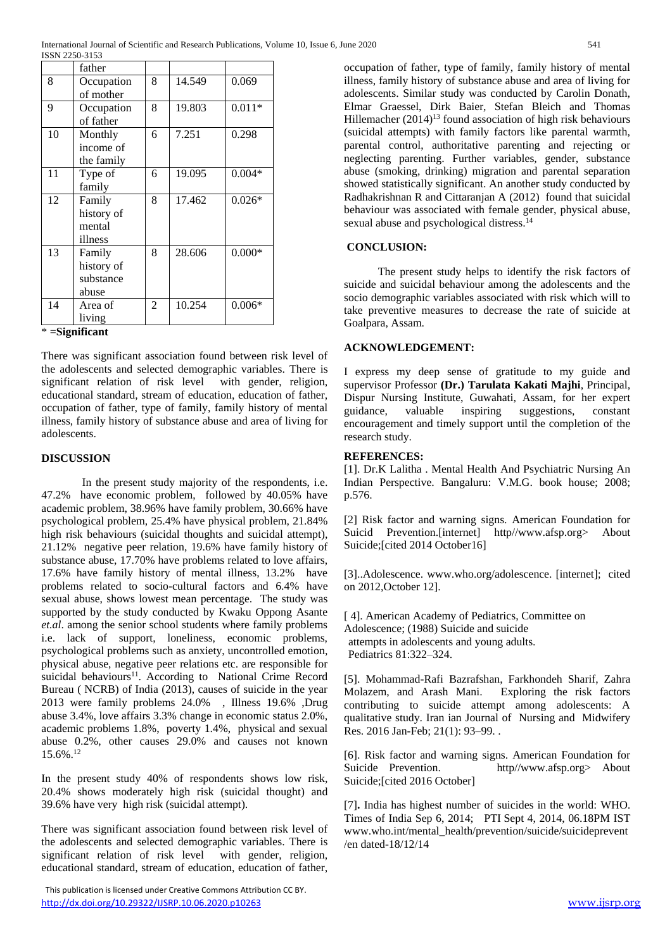|    | father            |                |        |          |
|----|-------------------|----------------|--------|----------|
| 8  | Occupation        | 8              | 14.549 | 0.069    |
|    | of mother         |                |        |          |
| 9  | Occupation        | 8              | 19.803 | $0.011*$ |
|    | of father         |                |        |          |
| 10 | Monthly           | 6              | 7.251  | 0.298    |
|    | income of         |                |        |          |
|    | the family        |                |        |          |
| 11 | Type of           | 6              | 19.095 | $0.004*$ |
|    | family            |                |        |          |
| 12 | Family            | 8              | 17.462 | $0.026*$ |
|    | history of        |                |        |          |
|    | mental            |                |        |          |
|    | illness           |                |        |          |
| 13 | Family            | 8              | 28.606 | $0.000*$ |
|    | history of        |                |        |          |
|    | substance         |                |        |          |
|    | abuse             |                |        |          |
| 14 | Area of           | $\overline{2}$ | 10.254 | $0.006*$ |
|    | living            |                |        |          |
|    | $* =$ Significant |                |        |          |

There was significant association found between risk level of the adolescents and selected demographic variables. There is significant relation of risk level with gender, religion, educational standard, stream of education, education of father, occupation of father, type of family, family history of mental illness, family history of substance abuse and area of living for adolescents.

# **DISCUSSION**

In the present study majority of the respondents, i.e. 47.2% have economic problem, followed by 40.05% have academic problem, 38.96% have family problem, 30.66% have psychological problem, 25.4% have physical problem, 21.84% high risk behaviours (suicidal thoughts and suicidal attempt), 21.12% negative peer relation, 19.6% have family history of substance abuse, 17.70% have problems related to love affairs, 17.6% have family history of mental illness, 13.2% have problems related to socio-cultural factors and 6.4% have sexual abuse, shows lowest mean percentage. The study was supported by the study conducted by Kwaku Oppong Asante *et.al*. among the senior school students where family problems i.e. lack of support, loneliness, economic problems, psychological problems such as anxiety, uncontrolled emotion, physical abuse, negative peer relations etc. are responsible for suicidal behaviours<sup>11</sup>. According to National Crime Record Bureau ( NCRB) of India (2013), causes of suicide in the year 2013 were family problems 24.0% , Illness 19.6% ,Drug abuse 3.4%, love affairs 3.3% change in economic status 2.0%, academic problems 1.8%, poverty 1.4%, physical and sexual abuse 0.2%, other causes 29.0% and causes not known 15.6%.<sup>12</sup>

In the present study 40% of respondents shows low risk, 20.4% shows moderately high risk (suicidal thought) and 39.6% have very high risk (suicidal attempt).

There was significant association found between risk level of the adolescents and selected demographic variables. There is significant relation of risk level with gender, religion, educational standard, stream of education, education of father,

 This publication is licensed under Creative Commons Attribution CC BY. <http://dx.doi.org/10.29322/IJSRP.10.06.2020.p10263> [www.ijsrp.org](http://ijsrp.org/)

occupation of father, type of family, family history of mental illness, family history of substance abuse and area of living for adolescents. Similar study was conducted by Carolin Donath, Elmar Graessel, Dirk Baier, Stefan Bleich and Thomas Hillemacher  $(2014)^{13}$  found association of high risk behaviours (suicidal attempts) with family factors like parental warmth, parental control, authoritative parenting and rejecting or neglecting parenting. Further variables, gender, substance abuse (smoking, drinking) migration and parental separation showed statistically significant. An another study conducted by Radhakrishnan R and Cittaranjan A (2012) found that suicidal behaviour was associated with female gender, physical abuse, sexual abuse and psychological distress.<sup>14</sup>

# **CONCLUSION:**

 The present study helps to identify the risk factors of suicide and suicidal behaviour among the adolescents and the socio demographic variables associated with risk which will to take preventive measures to decrease the rate of suicide at Goalpara, Assam.

# **ACKNOWLEDGEMENT:**

I express my deep sense of gratitude to my guide and supervisor Professor **(Dr.) Tarulata Kakati Majhi**, Principal, Dispur Nursing Institute, Guwahati, Assam, for her expert guidance, valuable inspiring suggestions, constant encouragement and timely support until the completion of the research study.

# **REFERENCES:**

[1]. Dr.K Lalitha . Mental Health And Psychiatric Nursing An Indian Perspective. Bangaluru: V.M.G. book house; 2008; p.576.

[2] Risk factor and warning signs. American Foundation for Suicid Prevention.[internet] http//www.afsp.org> About Suicide;[cited 2014 October16]

[3]..Adolescence. www.who.org/adolescence. [internet]; cited on 2012,October 12].

[ 4]. American Academy of Pediatrics, Committee on Adolescence; (1988) Suicide and suicide attempts in adolescents and young adults. Pediatrics 81:322–324.

[5]. [Mohammad-Rafi Bazrafshan,](https://www.ncbi.nlm.nih.gov/pubmed/?term=Bazrafshan%20MR%5BAuthor%5D&cauthor=true&cauthor_uid=26985229) [Farkhondeh Sharif,](https://www.ncbi.nlm.nih.gov/pubmed/?term=Sharif%20F%5BAuthor%5D&cauthor=true&cauthor_uid=26985229) [Zahra](https://www.ncbi.nlm.nih.gov/pubmed/?term=Molazem%20Z%5BAuthor%5D&cauthor=true&cauthor_uid=26985229)  [Molazem,](https://www.ncbi.nlm.nih.gov/pubmed/?term=Molazem%20Z%5BAuthor%5D&cauthor=true&cauthor_uid=26985229) and [Arash Mani.](https://www.ncbi.nlm.nih.gov/pubmed/?term=Mani%20A%5BAuthor%5D&cauthor=true&cauthor_uid=26985229) Exploring the risk factors contributing to suicide attempt among adolescents: A qualitative study. Iran ian Journal of Nursing and Midwifery Res. 2016 Jan-Feb; 21(1): 93–99. .

[6]. Risk factor and warning signs. American Foundation for Suicide Prevention. http//www.afsp.org> About Suicide;[cited 2016 October]

[7]**.** India has highest number of suicides in the world: WHO. Times of India Sep 6, 2014; PTI Sept 4, 2014, 06.18PM IST [www.who.int/mental\\_health/prevention/suicide/suicideprevent](http://www.who.int/mental_health/prevention/suicide/suicideprevent/en%20dated-18/12/14) [/en dated-18/12/14](http://www.who.int/mental_health/prevention/suicide/suicideprevent/en%20dated-18/12/14)